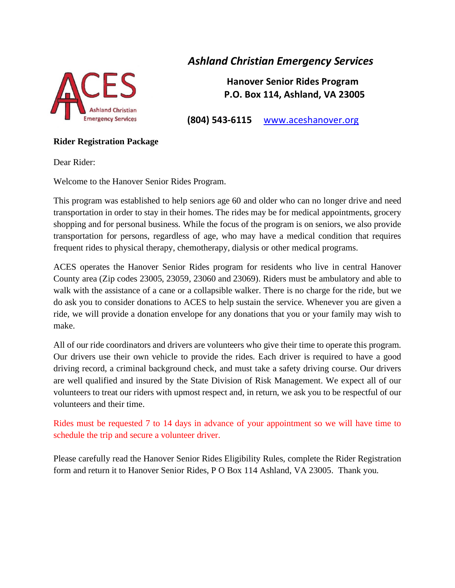

# *Ashland Christian Emergency Services*

 **Hanover Senior Rides Program P.O. Box 114, Ashland, VA 23005**

**(804) 543-6115** www.aceshanover.org

#### **Rider Registration Package**

Dear Rider:

Welcome to the Hanover Senior Rides Program.

This program was established to help seniors age 60 and older who can no longer drive and need transportation in order to stay in their homes. The rides may be for medical appointments, grocery shopping and for personal business. While the focus of the program is on seniors, we also provide transportation for persons, regardless of age, who may have a medical condition that requires frequent rides to physical therapy, chemotherapy, dialysis or other medical programs.

ACES operates the Hanover Senior Rides program for residents who live in central Hanover County area (Zip codes 23005, 23059, 23060 and 23069). Riders must be ambulatory and able to walk with the assistance of a cane or a collapsible walker. There is no charge for the ride, but we do ask you to consider donations to ACES to help sustain the service. Whenever you are given a ride, we will provide a donation envelope for any donations that you or your family may wish to make.

All of our ride coordinators and drivers are volunteers who give their time to operate this program. Our drivers use their own vehicle to provide the rides. Each driver is required to have a good driving record, a criminal background check, and must take a safety driving course. Our drivers are well qualified and insured by the State Division of Risk Management. We expect all of our volunteers to treat our riders with upmost respect and, in return, we ask you to be respectful of our volunteers and their time.

Rides must be requested 7 to 14 days in advance of your appointment so we will have time to schedule the trip and secure a volunteer driver.

Please carefully read the Hanover Senior Rides Eligibility Rules, complete the Rider Registration form and return it to Hanover Senior Rides, P O Box 114 Ashland, VA 23005. Thank you.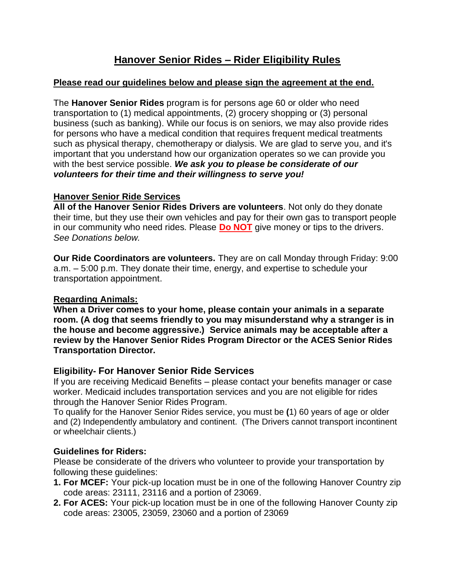# **Hanover Senior Rides – Rider Eligibility Rules**

#### **Please read our guidelines below and please sign the agreement at the end.**

The **Hanover Senior Rides** program is for persons age 60 or older who need transportation to (1) medical appointments, (2) grocery shopping or (3) personal business (such as banking). While our focus is on seniors, we may also provide rides for persons who have a medical condition that requires frequent medical treatments such as physical therapy, chemotherapy or dialysis. We are glad to serve you, and it's important that you understand how our organization operates so we can provide you with the best service possible. *We ask you to please be considerate of our volunteers for their time and their willingness to serve you!* 

#### **Hanover Senior Ride Services**

**All of the Hanover Senior Rides Drivers are volunteers**. Not only do they donate their time, but they use their own vehicles and pay for their own gas to transport people in our community who need rides. Please **Do NOT** give money or tips to the drivers. *See Donations below.*

**Our Ride Coordinators are volunteers.** They are on call Monday through Friday: 9:00 a.m. – 5:00 p.m. They donate their time, energy, and expertise to schedule your transportation appointment.

## **Regarding Animals:**

**When a Driver comes to your home, please contain your animals in a separate room. (A dog that seems friendly to you may misunderstand why a stranger is in the house and become aggressive.) Service animals may be acceptable after a review by the Hanover Senior Rides Program Director or the ACES Senior Rides Transportation Director.**

# **Eligibility- For Hanover Senior Ride Services**

If you are receiving Medicaid Benefits – please contact your benefits manager or case worker. Medicaid includes transportation services and you are not eligible for rides through the Hanover Senior Rides Program.

To qualify for the Hanover Senior Rides service, you must be **(**1) 60 years of age or older and (2) Independently ambulatory and continent. (The Drivers cannot transport incontinent or wheelchair clients.)

## **Guidelines for Riders:**

Please be considerate of the drivers who volunteer to provide your transportation by following these guidelines:

- **1. For MCEF:** Your pick-up location must be in one of the following Hanover Country zip code areas: 23111, 23116 and a portion of 23069.
- **2. For ACES:** Your pick-up location must be in one of the following Hanover County zip code areas: 23005, 23059, 23060 and a portion of 23069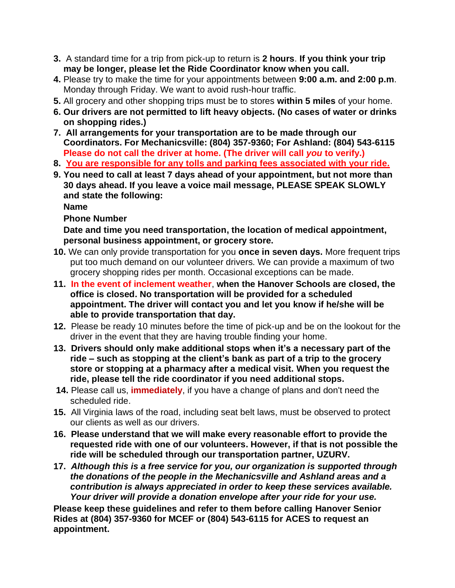- **3.** A standard time for a trip from pick-up to return is **2 hours**. **If you think your trip may be longer, please let the Ride Coordinator know when you call.**
- **4.** Please try to make the time for your appointments between **9:00 a.m. and 2:00 p.m**. Monday through Friday. We want to avoid rush-hour traffic.
- **5.** All grocery and other shopping trips must be to stores **within 5 miles** of your home.
- **6. Our drivers are not permitted to lift heavy objects. (No cases of water or drinks on shopping rides.)**
- **7. All arrangements for your transportation are to be made through our Coordinators. For Mechanicsville: (804) 357-9360; For Ashland: (804) 543-6115 Please do not call the driver at home. (The driver will call** *you* **to verify.)**
- **8. You are responsible for any tolls and parking fees associated with your ride.**
- **9. You need to call at least 7 days ahead of your appointment, but not more than 30 days ahead. If you leave a voice mail message, PLEASE SPEAK SLOWLY and state the following:**

 **Name** 

## **Phone Number**

**Date and time you need transportation, the location of medical appointment, personal business appointment, or grocery store.**

- **10.** We can only provide transportation for you **once in seven days.** More frequent trips put too much demand on our volunteer drivers. We can provide a maximum of two grocery shopping rides per month. Occasional exceptions can be made.
- **11. In the event of inclement weather**, **when the Hanover Schools are closed, the office is closed. No transportation will be provided for a scheduled appointment. The driver will contact you and let you know if he/she will be able to provide transportation that day.**
- **12.** Please be ready 10 minutes before the time of pick-up and be on the lookout for the driver in the event that they are having trouble finding your home.
- **13. Drivers should only make additional stops when it's a necessary part of the ride – such as stopping at the client's bank as part of a trip to the grocery store or stopping at a pharmacy after a medical visit. When you request the ride, please tell the ride coordinator if you need additional stops.**
- **14.** Please call us, **immediately**, if you have a change of plans and don't need the scheduled ride.
- **15.** All Virginia laws of the road, including seat belt laws, must be observed to protect our clients as well as our drivers.
- **16. Please understand that we will make every reasonable effort to provide the requested ride with one of our volunteers. However, if that is not possible the ride will be scheduled through our transportation partner, UZURV.**
- **17.** *Although this is a free service for you, our organization is supported through the donations of the people in the Mechanicsville and Ashland areas and a contribution is always appreciated in order to keep these services available. Your driver will provide a donation envelope after your ride for your use.*

**Please keep these guidelines and refer to them before calling Hanover Senior Rides at (804) 357-9360 for MCEF or (804) 543-6115 for ACES to request an appointment.**